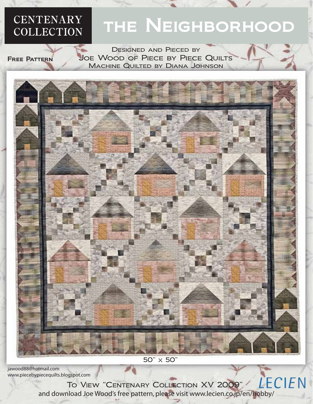## **CENTENARY COLLECTION**

# THE NEIGHBORHOOD

Free Pattern

Designed and Pieced by Joe Wood of Piece by Piece Quilts Machine Quilted by Diana Johnson



50" x 50"

jawood88@hotmail.com www.piecebypiecequilts.blogspot.com

LECIEN To View "Centenary Collection XV 2009" and download Joe Wood's free pattern, please visit www.lecien.co.jp/en/hobby/